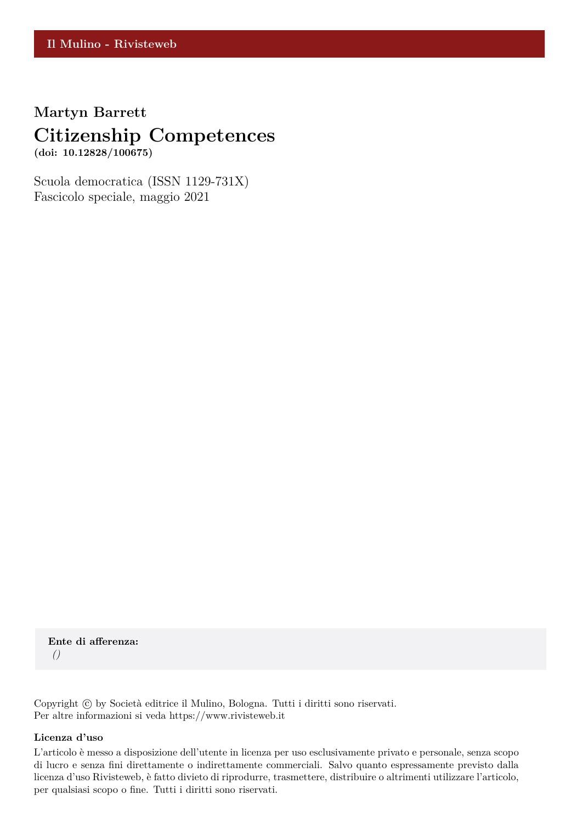# **Martyn Barrett Citizenship Competences**

**(doi: 10.12828/100675)**

Scuola democratica (ISSN 1129-731X) Fascicolo speciale, maggio 2021

**Ente di afferenza:** *()*

Copyright © by Società editrice il Mulino, Bologna. Tutti i diritti sono riservati. Per altre informazioni si veda https://www.rivisteweb.it

#### **Licenza d'uso**

L'articolo è messo a disposizione dell'utente in licenza per uso esclusivamente privato e personale, senza scopo di lucro e senza fini direttamente o indirettamente commerciali. Salvo quanto espressamente previsto dalla licenza d'uso Rivisteweb, è fatto divieto di riprodurre, trasmettere, distribuire o altrimenti utilizzare l'articolo, per qualsiasi scopo o fine. Tutti i diritti sono riservati.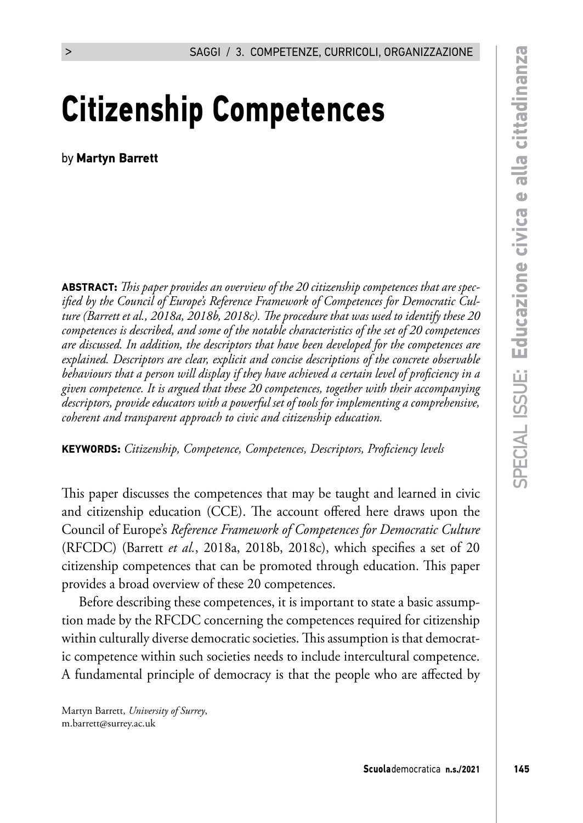# **Citizenship Competences**

by **Martyn Barrett**

**ABSTRACT:** *This paper provides an overview of the 20 citizenship competences that are specified by the Council of Europe's Reference Framework of Competences for Democratic Culture (Barrett et al., 2018a, 2018b, 2018c). The procedure that was used to identify these 20 competences is described, and some of the notable characteristics of the set of 20 competences are discussed. In addition, the descriptors that have been developed for the competences are explained. Descriptors are clear, explicit and concise descriptions of the concrete observable behaviours that a person will display if they have achieved a certain level of proficiency in a given competence. It is argued that these 20 competences, together with their accompanying descriptors, provide educators with a powerful set of tools for implementing a comprehensive, coherent and transparent approach to civic and citizenship education.* 

**KEYWORDS:** *Citizenship, Competence, Competences, Descriptors, Proficiency levels*

This paper discusses the competences that may be taught and learned in civic and citizenship education (CCE). The account offered here draws upon the Council of Europe's *Reference Framework of Competences for Democratic Culture* (RFCDC) (Barrett *et al.*, 2018a, 2018b, 2018c), which specifies a set of 20 citizenship competences that can be promoted through education. This paper provides a broad overview of these 20 competences.

Before describing these competences, it is important to state a basic assumption made by the RFCDC concerning the competences required for citizenship within culturally diverse democratic societies. This assumption is that democratic competence within such societies needs to include intercultural competence. A fundamental principle of democracy is that the people who are affected by

Martyn Barrett, *University of Surrey*, m.barrett@surrey.ac.uk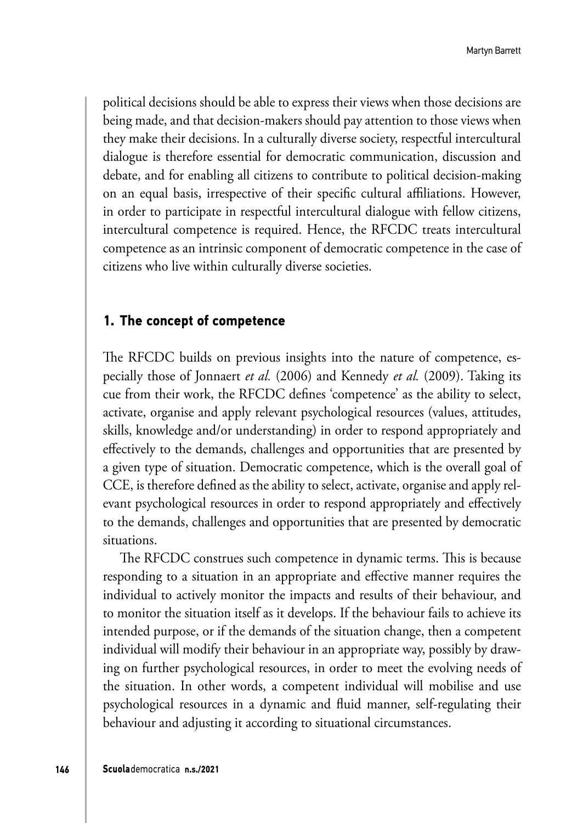political decisions should be able to express their views when those decisions are being made, and that decision-makers should pay attention to those views when they make their decisions. In a culturally diverse society, respectful intercultural dialogue is therefore essential for democratic communication, discussion and debate, and for enabling all citizens to contribute to political decision-making on an equal basis, irrespective of their specific cultural affiliations. However, in order to participate in respectful intercultural dialogue with fellow citizens, intercultural competence is required. Hence, the RFCDC treats intercultural competence as an intrinsic component of democratic competence in the case of citizens who live within culturally diverse societies.

#### **1. The concept of competence**

The RFCDC builds on previous insights into the nature of competence, especially those of Jonnaert *et al.* (2006) and Kennedy *et al.* (2009). Taking its cue from their work, the RFCDC defines 'competence' as the ability to select, activate, organise and apply relevant psychological resources (values, attitudes, skills, knowledge and/or understanding) in order to respond appropriately and effectively to the demands, challenges and opportunities that are presented by a given type of situation. Democratic competence, which is the overall goal of CCE, is therefore defined as the ability to select, activate, organise and apply relevant psychological resources in order to respond appropriately and effectively to the demands, challenges and opportunities that are presented by democratic situations.

The RFCDC construes such competence in dynamic terms. This is because responding to a situation in an appropriate and effective manner requires the individual to actively monitor the impacts and results of their behaviour, and to monitor the situation itself as it develops. If the behaviour fails to achieve its intended purpose, or if the demands of the situation change, then a competent individual will modify their behaviour in an appropriate way, possibly by drawing on further psychological resources, in order to meet the evolving needs of the situation. In other words, a competent individual will mobilise and use psychological resources in a dynamic and fluid manner, self-regulating their behaviour and adjusting it according to situational circumstances.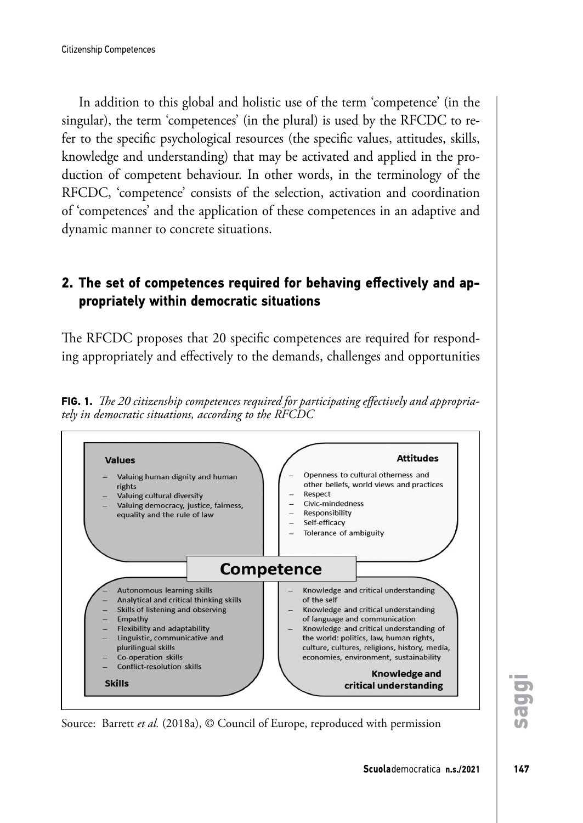In addition to this global and holistic use of the term 'competence' (in the singular), the term 'competences' (in the plural) is used by the RFCDC to refer to the specific psychological resources (the specific values, attitudes, skills, knowledge and understanding) that may be activated and applied in the production of competent behaviour. In other words, in the terminology of the RFCDC, 'competence' consists of the selection, activation and coordination of 'competences' and the application of these competences in an adaptive and dynamic manner to concrete situations.

# **2. The set of competences required for behaving effectively and appropriately within democratic situations**

The RFCDC proposes that 20 specific competences are required for responding appropriately and effectively to the demands, challenges and opportunities

**FIG. 1.** *The 20 citizenship competences required for participating effectively and appropriately in democratic situations, according to the RFCDC*



Source: Barrett *et al.* (2018a), © Council of Europe, reproduced with permission

**saggi**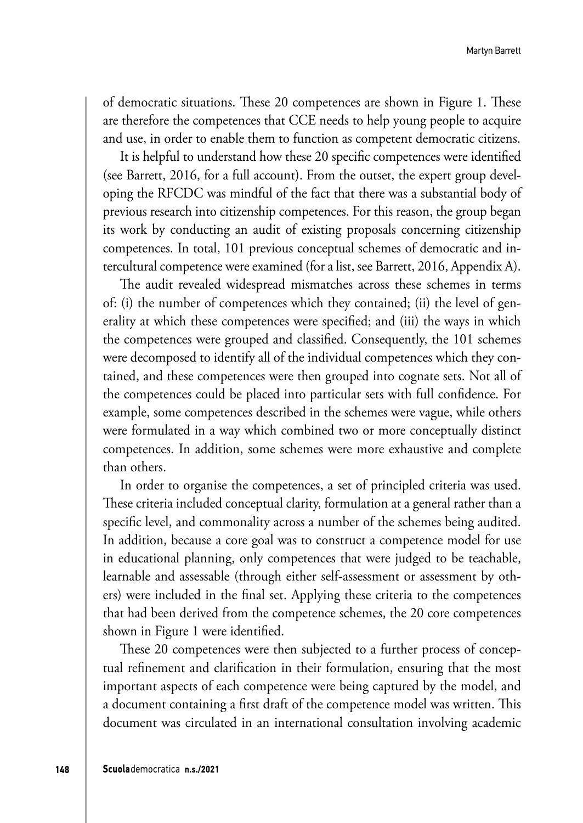of democratic situations. These 20 competences are shown in Figure 1. These are therefore the competences that CCE needs to help young people to acquire and use, in order to enable them to function as competent democratic citizens.

It is helpful to understand how these 20 specific competences were identified (see Barrett, 2016, for a full account). From the outset, the expert group developing the RFCDC was mindful of the fact that there was a substantial body of previous research into citizenship competences. For this reason, the group began its work by conducting an audit of existing proposals concerning citizenship competences. In total, 101 previous conceptual schemes of democratic and intercultural competence were examined (for a list, see Barrett, 2016, Appendix A).

The audit revealed widespread mismatches across these schemes in terms of: (i) the number of competences which they contained; (ii) the level of generality at which these competences were specified; and (iii) the ways in which the competences were grouped and classified. Consequently, the 101 schemes were decomposed to identify all of the individual competences which they contained, and these competences were then grouped into cognate sets. Not all of the competences could be placed into particular sets with full confidence. For example, some competences described in the schemes were vague, while others were formulated in a way which combined two or more conceptually distinct competences. In addition, some schemes were more exhaustive and complete than others.

In order to organise the competences, a set of principled criteria was used. These criteria included conceptual clarity, formulation at a general rather than a specific level, and commonality across a number of the schemes being audited. In addition, because a core goal was to construct a competence model for use in educational planning, only competences that were judged to be teachable, learnable and assessable (through either self-assessment or assessment by others) were included in the final set. Applying these criteria to the competences that had been derived from the competence schemes, the 20 core competences shown in Figure 1 were identified.

These 20 competences were then subjected to a further process of conceptual refinement and clarification in their formulation, ensuring that the most important aspects of each competence were being captured by the model, and a document containing a first draft of the competence model was written. This document was circulated in an international consultation involving academic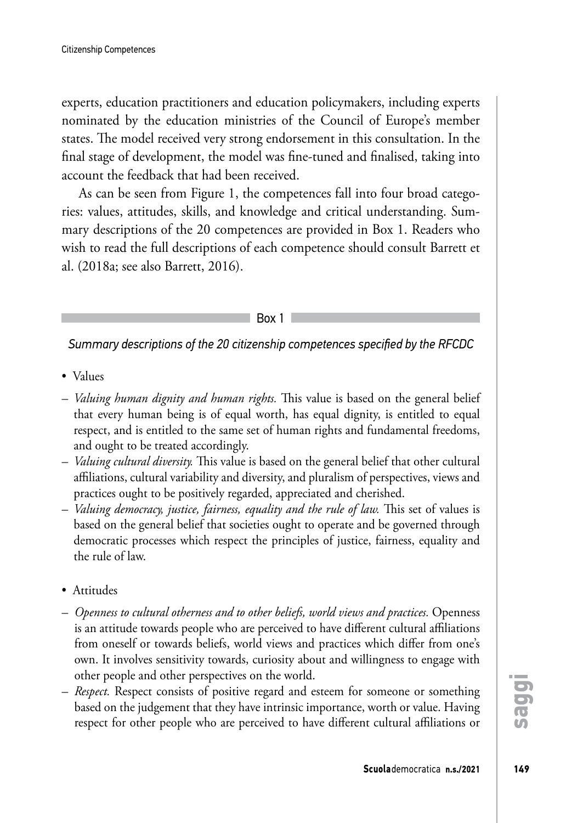experts, education practitioners and education policymakers, including experts nominated by the education ministries of the Council of Europe's member states. The model received very strong endorsement in this consultation. In the final stage of development, the model was fine-tuned and finalised, taking into account the feedback that had been received.

As can be seen from Figure 1, the competences fall into four broad categories: values, attitudes, skills, and knowledge and critical understanding. Summary descriptions of the 20 competences are provided in Box 1. Readers who wish to read the full descriptions of each competence should consult Barrett et al. (2018a; see also Barrett, 2016).

Box 1

*Summary descriptions of the 20 citizenship competences specified by the RFCDC*

- Values
- *Valuing human dignity and human rights.* This value is based on the general belief that every human being is of equal worth, has equal dignity, is entitled to equal respect, and is entitled to the same set of human rights and fundamental freedoms, and ought to be treated accordingly.
- *Valuing cultural diversity.* This value is based on the general belief that other cultural affiliations, cultural variability and diversity, and pluralism of perspectives, views and practices ought to be positively regarded, appreciated and cherished.
- *Valuing democracy, justice, fairness, equality and the rule of law.* This set of values is based on the general belief that societies ought to operate and be governed through democratic processes which respect the principles of justice, fairness, equality and the rule of law.
- Attitudes
- *Openness to cultural otherness and to other beliefs, world views and practices.* Openness is an attitude towards people who are perceived to have different cultural affiliations from oneself or towards beliefs, world views and practices which differ from one's own. It involves sensitivity towards, curiosity about and willingness to engage with other people and other perspectives on the world.
- *Respect.* Respect consists of positive regard and esteem for someone or something based on the judgement that they have intrinsic importance, worth or value. Having respect for other people who are perceived to have different cultural affiliations or

**saggi**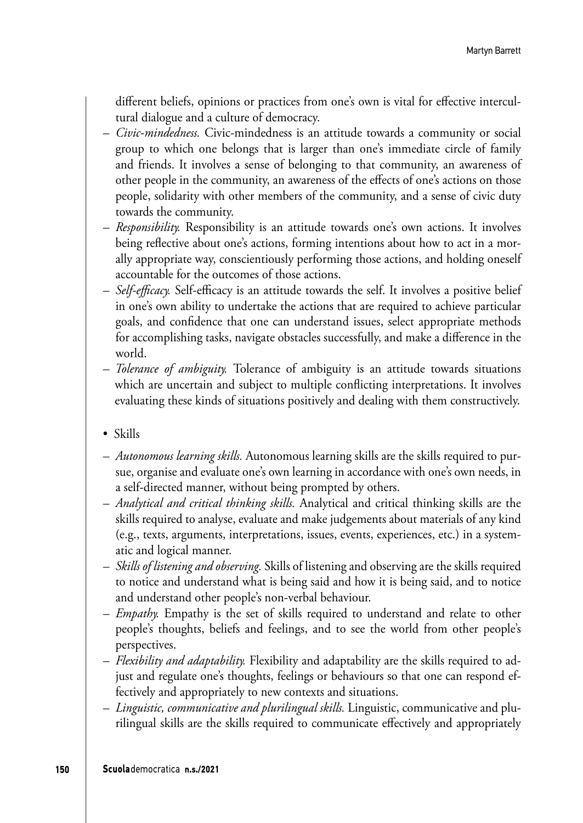different beliefs, opinions or practices from one's own is vital for effective intercultural dialogue and a culture of democracy.

- *Civic-mindedness.* Civic-mindedness is an attitude towards a community or social group to which one belongs that is larger than one's immediate circle of family and friends. It involves a sense of belonging to that community, an awareness of other people in the community, an awareness of the effects of one's actions on those people, solidarity with other members of the community, and a sense of civic duty towards the community.
- *Responsibility.* Responsibility is an attitude towards one's own actions. It involves being reflective about one's actions, forming intentions about how to act in a morally appropriate way, conscientiously performing those actions, and holding oneself accountable for the outcomes of those actions.
- *Self-efficacy.* Self-efficacy is an attitude towards the self. It involves a positive belief in one's own ability to undertake the actions that are required to achieve particular goals, and confidence that one can understand issues, select appropriate methods for accomplishing tasks, navigate obstacles successfully, and make a difference in the world.
- *Tolerance of ambiguity.* Tolerance of ambiguity is an attitude towards situations which are uncertain and subject to multiple conflicting interpretations. It involves evaluating these kinds of situations positively and dealing with them constructively.
- Skills
- *Autonomous learning skills.* Autonomous learning skills are the skills required to pursue, organise and evaluate one's own learning in accordance with one's own needs, in a self-directed manner, without being prompted by others.
- *Analytical and critical thinking skills.* Analytical and critical thinking skills are the skills required to analyse, evaluate and make judgements about materials of any kind (e.g., texts, arguments, interpretations, issues, events, experiences, etc.) in a systematic and logical manner.
- *Skills of listening and observing.* Skills of listening and observing are the skills required to notice and understand what is being said and how it is being said, and to notice and understand other people's non-verbal behaviour.
- *Empathy.* Empathy is the set of skills required to understand and relate to other people's thoughts, beliefs and feelings, and to see the world from other people's perspectives.
- *Flexibility and adaptability.* Flexibility and adaptability are the skills required to adjust and regulate one's thoughts, feelings or behaviours so that one can respond effectively and appropriately to new contexts and situations.
- *Linguistic, communicative and plurilingual skills.* Linguistic, communicative and plurilingual skills are the skills required to communicate effectively and appropriately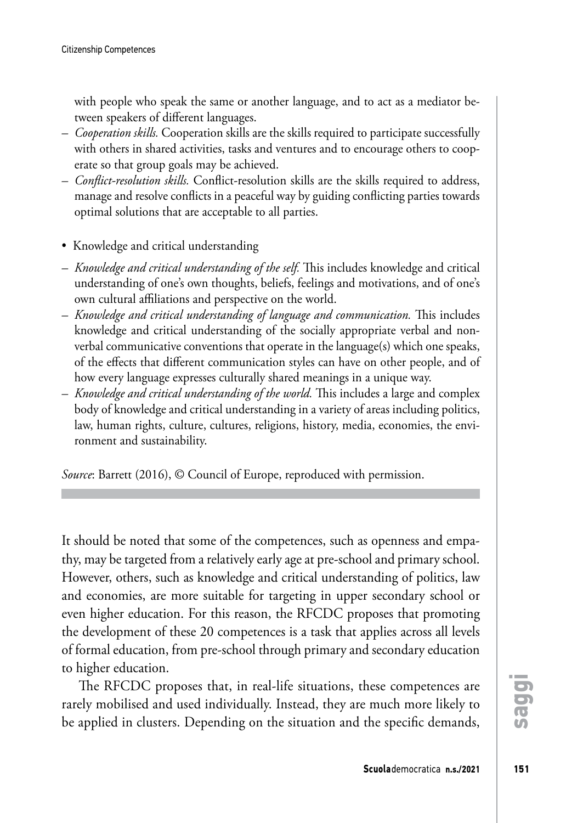with people who speak the same or another language, and to act as a mediator between speakers of different languages.

- *Cooperation skills.* Cooperation skills are the skills required to participate successfully with others in shared activities, tasks and ventures and to encourage others to cooperate so that group goals may be achieved.
- *Conflict-resolution skills.* Conflict-resolution skills are the skills required to address, manage and resolve conflicts in a peaceful way by guiding conflicting parties towards optimal solutions that are acceptable to all parties.
- Knowledge and critical understanding
- *Knowledge and critical understanding of the self.* This includes knowledge and critical understanding of one's own thoughts, beliefs, feelings and motivations, and of one's own cultural affiliations and perspective on the world.
- *Knowledge and critical understanding of language and communication.* This includes knowledge and critical understanding of the socially appropriate verbal and nonverbal communicative conventions that operate in the language(s) which one speaks, of the effects that different communication styles can have on other people, and of how every language expresses culturally shared meanings in a unique way.
- *Knowledge and critical understanding of the world.* This includes a large and complex body of knowledge and critical understanding in a variety of areas including politics, law, human rights, culture, cultures, religions, history, media, economies, the environment and sustainability.

*Source*: Barrett (2016), © Council of Europe, reproduced with permission.

It should be noted that some of the competences, such as openness and empathy, may be targeted from a relatively early age at pre-school and primary school. However, others, such as knowledge and critical understanding of politics, law and economies, are more suitable for targeting in upper secondary school or even higher education. For this reason, the RFCDC proposes that promoting the development of these 20 competences is a task that applies across all levels of formal education, from pre-school through primary and secondary education to higher education.

The RFCDC proposes that, in real-life situations, these competences are rarely mobilised and used individually. Instead, they are much more likely to be applied in clusters. Depending on the situation and the specific demands, **saggi**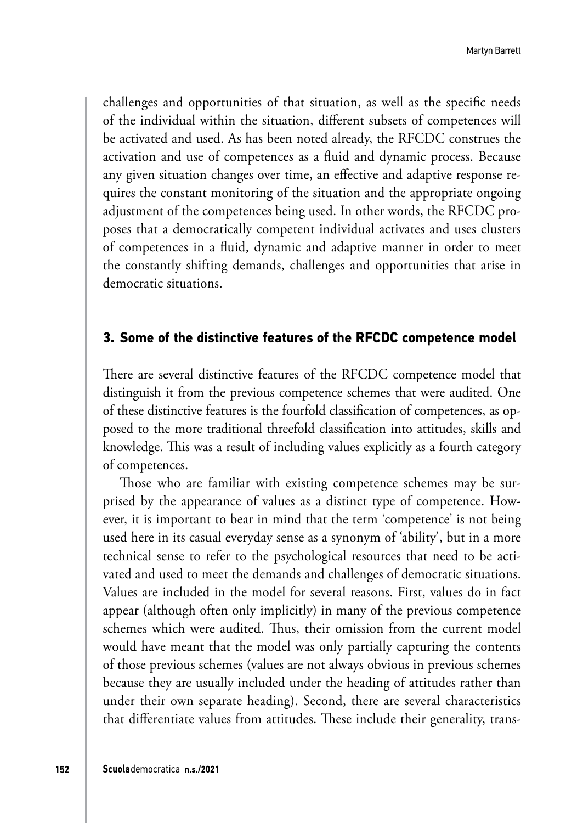challenges and opportunities of that situation, as well as the specific needs of the individual within the situation, different subsets of competences will be activated and used. As has been noted already, the RFCDC construes the activation and use of competences as a fluid and dynamic process. Because any given situation changes over time, an effective and adaptive response requires the constant monitoring of the situation and the appropriate ongoing adjustment of the competences being used. In other words, the RFCDC proposes that a democratically competent individual activates and uses clusters of competences in a fluid, dynamic and adaptive manner in order to meet the constantly shifting demands, challenges and opportunities that arise in democratic situations.

#### **3. Some of the distinctive features of the RFCDC competence model**

There are several distinctive features of the RFCDC competence model that distinguish it from the previous competence schemes that were audited. One of these distinctive features is the fourfold classification of competences, as opposed to the more traditional threefold classification into attitudes, skills and knowledge. This was a result of including values explicitly as a fourth category of competences.

Those who are familiar with existing competence schemes may be surprised by the appearance of values as a distinct type of competence. However, it is important to bear in mind that the term 'competence' is not being used here in its casual everyday sense as a synonym of 'ability', but in a more technical sense to refer to the psychological resources that need to be activated and used to meet the demands and challenges of democratic situations. Values are included in the model for several reasons. First, values do in fact appear (although often only implicitly) in many of the previous competence schemes which were audited. Thus, their omission from the current model would have meant that the model was only partially capturing the contents of those previous schemes (values are not always obvious in previous schemes because they are usually included under the heading of attitudes rather than under their own separate heading). Second, there are several characteristics that differentiate values from attitudes. These include their generality, trans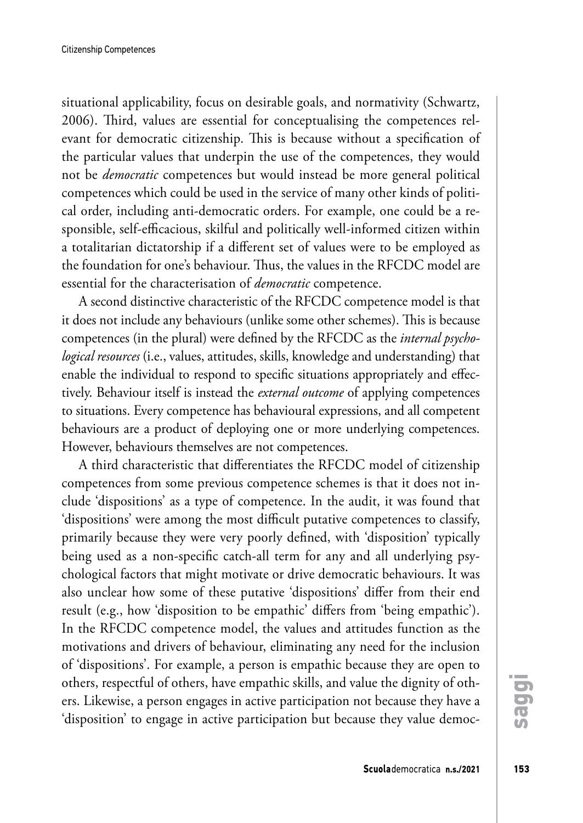situational applicability, focus on desirable goals, and normativity (Schwartz, 2006). Third, values are essential for conceptualising the competences relevant for democratic citizenship. This is because without a specification of the particular values that underpin the use of the competences, they would not be *democratic* competences but would instead be more general political competences which could be used in the service of many other kinds of political order, including anti-democratic orders. For example, one could be a responsible, self-efficacious, skilful and politically well-informed citizen within a totalitarian dictatorship if a different set of values were to be employed as the foundation for one's behaviour. Thus, the values in the RFCDC model are essential for the characterisation of *democratic* competence.

A second distinctive characteristic of the RFCDC competence model is that it does not include any behaviours (unlike some other schemes). This is because competences (in the plural) were defined by the RFCDC as the *internal psychological resources* (i.e., values, attitudes, skills, knowledge and understanding) that enable the individual to respond to specific situations appropriately and effectively. Behaviour itself is instead the *external outcome* of applying competences to situations. Every competence has behavioural expressions, and all competent behaviours are a product of deploying one or more underlying competences. However, behaviours themselves are not competences.

A third characteristic that differentiates the RFCDC model of citizenship competences from some previous competence schemes is that it does not include 'dispositions' as a type of competence. In the audit, it was found that 'dispositions' were among the most difficult putative competences to classify, primarily because they were very poorly defined, with 'disposition' typically being used as a non-specific catch-all term for any and all underlying psychological factors that might motivate or drive democratic behaviours. It was also unclear how some of these putative 'dispositions' differ from their end result (e.g., how 'disposition to be empathic' differs from 'being empathic'). In the RFCDC competence model, the values and attitudes function as the motivations and drivers of behaviour, eliminating any need for the inclusion of 'dispositions'. For example, a person is empathic because they are open to others, respectful of others, have empathic skills, and value the dignity of others. Likewise, a person engages in active participation not because they have a 'disposition' to engage in active participation but because they value democ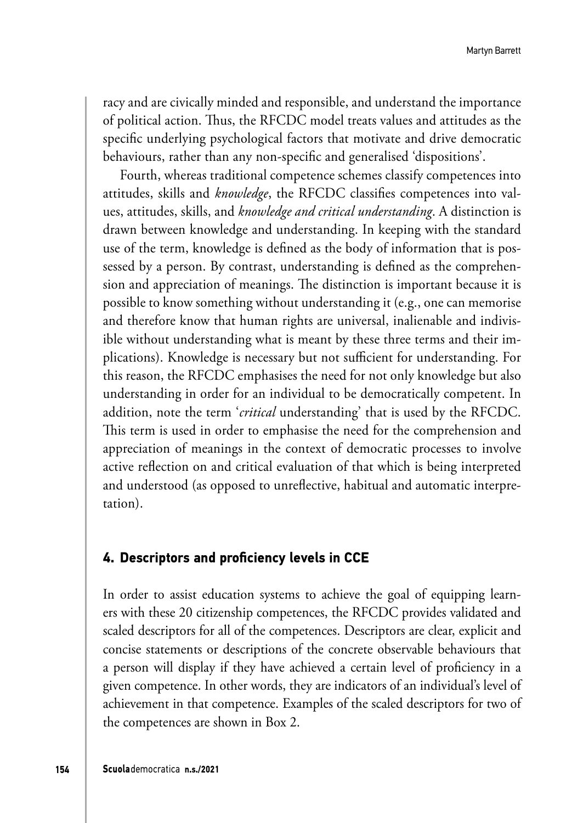racy and are civically minded and responsible, and understand the importance of political action. Thus, the RFCDC model treats values and attitudes as the specific underlying psychological factors that motivate and drive democratic behaviours, rather than any non-specific and generalised 'dispositions'.

Fourth, whereas traditional competence schemes classify competences into attitudes, skills and *knowledge*, the RFCDC classifies competences into values, attitudes, skills, and *knowledge and critical understanding*. A distinction is drawn between knowledge and understanding. In keeping with the standard use of the term, knowledge is defined as the body of information that is possessed by a person. By contrast, understanding is defined as the comprehension and appreciation of meanings. The distinction is important because it is possible to know something without understanding it (e.g., one can memorise and therefore know that human rights are universal, inalienable and indivisible without understanding what is meant by these three terms and their implications). Knowledge is necessary but not sufficient for understanding. For this reason, the RFCDC emphasises the need for not only knowledge but also understanding in order for an individual to be democratically competent. In addition, note the term '*critical* understanding' that is used by the RFCDC. This term is used in order to emphasise the need for the comprehension and appreciation of meanings in the context of democratic processes to involve active reflection on and critical evaluation of that which is being interpreted and understood (as opposed to unreflective, habitual and automatic interpretation).

#### **4. Descriptors and proficiency levels in CCE**

In order to assist education systems to achieve the goal of equipping learners with these 20 citizenship competences, the RFCDC provides validated and scaled descriptors for all of the competences. Descriptors are clear, explicit and concise statements or descriptions of the concrete observable behaviours that a person will display if they have achieved a certain level of proficiency in a given competence. In other words, they are indicators of an individual's level of achievement in that competence. Examples of the scaled descriptors for two of the competences are shown in Box 2.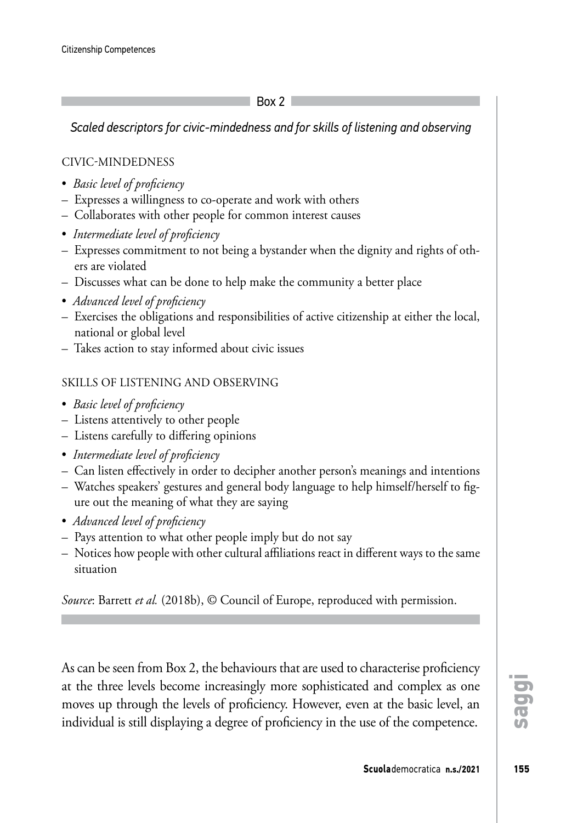Box 2

*Scaled descriptors for civic-mindedness and for skills of listening and observing*

## CIVIC-MINDEDNESS

- *Basic level of proficiency*
- Expresses a willingness to co-operate and work with others
- Collaborates with other people for common interest causes
- *Intermediate level of proficiency*
- Expresses commitment to not being a bystander when the dignity and rights of others are violated
- Discusses what can be done to help make the community a better place
- *Advanced level of proficiency*
- Exercises the obligations and responsibilities of active citizenship at either the local, national or global level
- Takes action to stay informed about civic issues

### SKILLS OF LISTENING AND OBSERVING

- *Basic level of proficiency*
- Listens attentively to other people
- Listens carefully to differing opinions
- *Intermediate level of proficiency*
- Can listen effectively in order to decipher another person's meanings and intentions
- Watches speakers' gestures and general body language to help himself/herself to figure out the meaning of what they are saying
- *Advanced level of proficiency*
- Pays attention to what other people imply but do not say
- Notices how people with other cultural affiliations react in different ways to the same situation

*Source*: Barrett *et al.* (2018b), © Council of Europe, reproduced with permission.

As can be seen from Box 2, the behaviours that are used to characterise proficiency at the three levels become increasingly more sophisticated and complex as one moves up through the levels of proficiency. However, even at the basic level, an individual is still displaying a degree of proficiency in the use of the competence.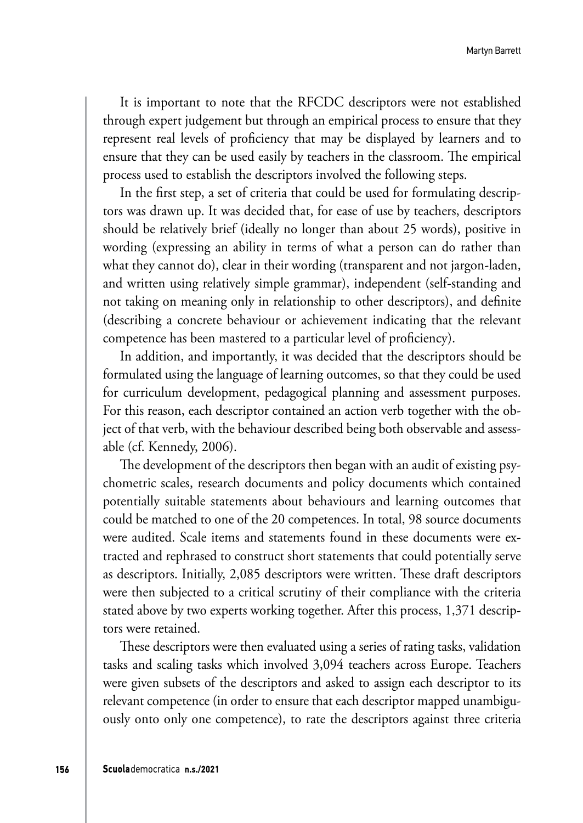It is important to note that the RFCDC descriptors were not established through expert judgement but through an empirical process to ensure that they represent real levels of proficiency that may be displayed by learners and to ensure that they can be used easily by teachers in the classroom. The empirical process used to establish the descriptors involved the following steps.

In the first step, a set of criteria that could be used for formulating descriptors was drawn up. It was decided that, for ease of use by teachers, descriptors should be relatively brief (ideally no longer than about 25 words), positive in wording (expressing an ability in terms of what a person can do rather than what they cannot do), clear in their wording (transparent and not jargon-laden, and written using relatively simple grammar), independent (self-standing and not taking on meaning only in relationship to other descriptors), and definite (describing a concrete behaviour or achievement indicating that the relevant competence has been mastered to a particular level of proficiency).

In addition, and importantly, it was decided that the descriptors should be formulated using the language of learning outcomes, so that they could be used for curriculum development, pedagogical planning and assessment purposes. For this reason, each descriptor contained an action verb together with the object of that verb, with the behaviour described being both observable and assessable (cf. Kennedy, 2006).

The development of the descriptors then began with an audit of existing psychometric scales, research documents and policy documents which contained potentially suitable statements about behaviours and learning outcomes that could be matched to one of the 20 competences. In total, 98 source documents were audited. Scale items and statements found in these documents were extracted and rephrased to construct short statements that could potentially serve as descriptors. Initially, 2,085 descriptors were written. These draft descriptors were then subjected to a critical scrutiny of their compliance with the criteria stated above by two experts working together. After this process, 1,371 descriptors were retained.

These descriptors were then evaluated using a series of rating tasks, validation tasks and scaling tasks which involved 3,094 teachers across Europe. Teachers were given subsets of the descriptors and asked to assign each descriptor to its relevant competence (in order to ensure that each descriptor mapped unambiguously onto only one competence), to rate the descriptors against three criteria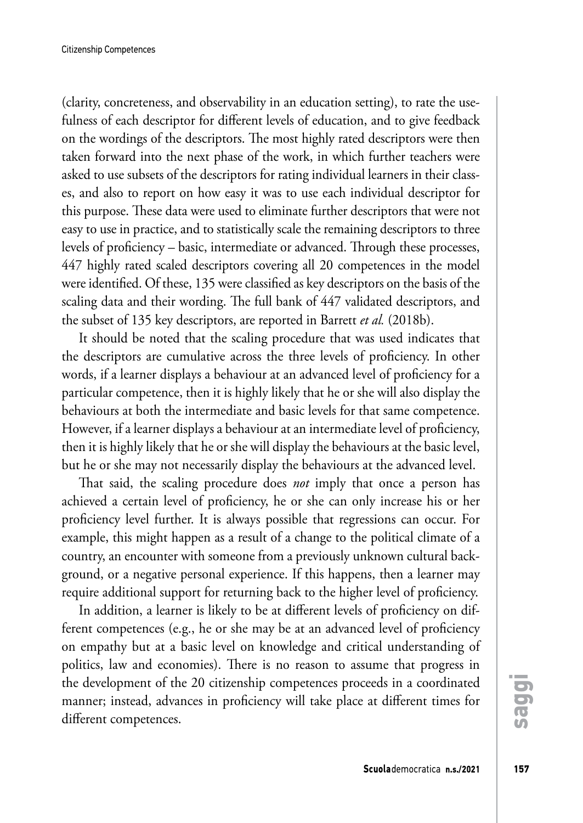(clarity, concreteness, and observability in an education setting), to rate the usefulness of each descriptor for different levels of education, and to give feedback on the wordings of the descriptors. The most highly rated descriptors were then taken forward into the next phase of the work, in which further teachers were asked to use subsets of the descriptors for rating individual learners in their classes, and also to report on how easy it was to use each individual descriptor for this purpose. These data were used to eliminate further descriptors that were not easy to use in practice, and to statistically scale the remaining descriptors to three levels of proficiency – basic, intermediate or advanced. Through these processes, 447 highly rated scaled descriptors covering all 20 competences in the model were identified. Of these, 135 were classified as key descriptors on the basis of the scaling data and their wording. The full bank of 447 validated descriptors, and the subset of 135 key descriptors, are reported in Barrett *et al.* (2018b).

It should be noted that the scaling procedure that was used indicates that the descriptors are cumulative across the three levels of proficiency. In other words, if a learner displays a behaviour at an advanced level of proficiency for a particular competence, then it is highly likely that he or she will also display the behaviours at both the intermediate and basic levels for that same competence. However, if a learner displays a behaviour at an intermediate level of proficiency, then it is highly likely that he or she will display the behaviours at the basic level, but he or she may not necessarily display the behaviours at the advanced level.

That said, the scaling procedure does *not* imply that once a person has achieved a certain level of proficiency, he or she can only increase his or her proficiency level further. It is always possible that regressions can occur. For example, this might happen as a result of a change to the political climate of a country, an encounter with someone from a previously unknown cultural background, or a negative personal experience. If this happens, then a learner may require additional support for returning back to the higher level of proficiency.

In addition, a learner is likely to be at different levels of proficiency on different competences (e.g., he or she may be at an advanced level of proficiency on empathy but at a basic level on knowledge and critical understanding of politics, law and economies). There is no reason to assume that progress in the development of the 20 citizenship competences proceeds in a coordinated manner; instead, advances in proficiency will take place at different times for different competences.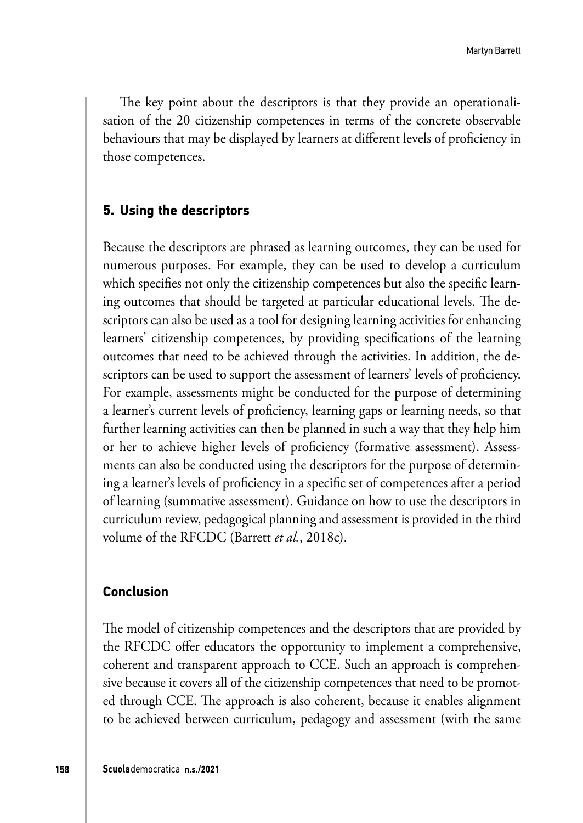The key point about the descriptors is that they provide an operationalisation of the 20 citizenship competences in terms of the concrete observable behaviours that may be displayed by learners at different levels of proficiency in those competences.

# **5. Using the descriptors**

Because the descriptors are phrased as learning outcomes, they can be used for numerous purposes. For example, they can be used to develop a curriculum which specifies not only the citizenship competences but also the specific learning outcomes that should be targeted at particular educational levels. The descriptors can also be used as a tool for designing learning activities for enhancing learners' citizenship competences, by providing specifications of the learning outcomes that need to be achieved through the activities. In addition, the descriptors can be used to support the assessment of learners' levels of proficiency. For example, assessments might be conducted for the purpose of determining a learner's current levels of proficiency, learning gaps or learning needs, so that further learning activities can then be planned in such a way that they help him or her to achieve higher levels of proficiency (formative assessment). Assessments can also be conducted using the descriptors for the purpose of determining a learner's levels of proficiency in a specific set of competences after a period of learning (summative assessment). Guidance on how to use the descriptors in curriculum review, pedagogical planning and assessment is provided in the third volume of the RFCDC (Barrett *et al.*, 2018c).

#### **Conclusion**

The model of citizenship competences and the descriptors that are provided by the RFCDC offer educators the opportunity to implement a comprehensive, coherent and transparent approach to CCE. Such an approach is comprehensive because it covers all of the citizenship competences that need to be promoted through CCE. The approach is also coherent, because it enables alignment to be achieved between curriculum, pedagogy and assessment (with the same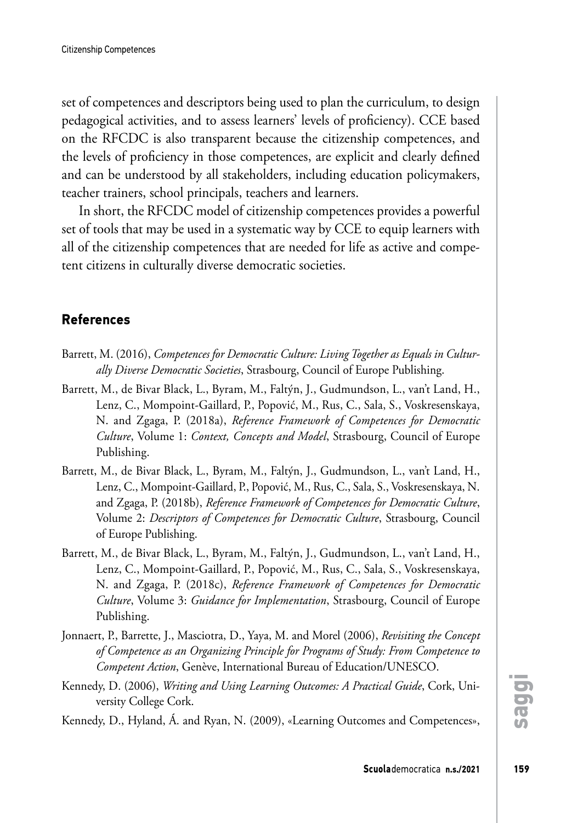set of competences and descriptors being used to plan the curriculum, to design pedagogical activities, and to assess learners' levels of proficiency). CCE based on the RFCDC is also transparent because the citizenship competences, and the levels of proficiency in those competences, are explicit and clearly defined and can be understood by all stakeholders, including education policymakers, teacher trainers, school principals, teachers and learners.

In short, the RFCDC model of citizenship competences provides a powerful set of tools that may be used in a systematic way by CCE to equip learners with all of the citizenship competences that are needed for life as active and competent citizens in culturally diverse democratic societies.

# **References**

- Barrett, M. (2016), *Competences for Democratic Culture: Living Together as Equals in Culturally Diverse Democratic Societies*, Strasbourg, Council of Europe Publishing.
- Barrett, M., de Bivar Black, L., Byram, M., Faltýn, J., Gudmundson, L., van't Land, H., Lenz, C., Mompoint-Gaillard, P., Popović, M., Rus, C., Sala, S., Voskresenskaya, N. and Zgaga, P. (2018a), *Reference Framework of Competences for Democratic Culture*, Volume 1: *Context, Concepts and Model*, Strasbourg, Council of Europe Publishing.
- Barrett, M., de Bivar Black, L., Byram, M., Faltýn, J., Gudmundson, L., van't Land, H., Lenz, C., Mompoint-Gaillard, P., Popović, M., Rus, C., Sala, S., Voskresenskaya, N. and Zgaga, P. (2018b), *Reference Framework of Competences for Democratic Culture*, Volume 2: *Descriptors of Competences for Democratic Culture*, Strasbourg, Council of Europe Publishing.
- Barrett, M., de Bivar Black, L., Byram, M., Faltýn, J., Gudmundson, L., van't Land, H., Lenz, C., Mompoint-Gaillard, P., Popović, M., Rus, C., Sala, S., Voskresenskaya, N. and Zgaga, P. (2018c), *Reference Framework of Competences for Democratic Culture*, Volume 3: *Guidance for Implementation*, Strasbourg, Council of Europe Publishing.
- Jonnaert, P., Barrette, J., Masciotra, D., Yaya, M. and Morel (2006), *Revisiting the Concept of Competence as an Organizing Principle for Programs of Study: From Competence to Competent Action*, Genève, International Bureau of Education/UNESCO.
- Kennedy, D. (2006), *Writing and Using Learning Outcomes: A Practical Guide*, Cork, University College Cork.

Kennedy, D., Hyland, Á. and Ryan, N. (2009), «Learning Outcomes and Competences»,